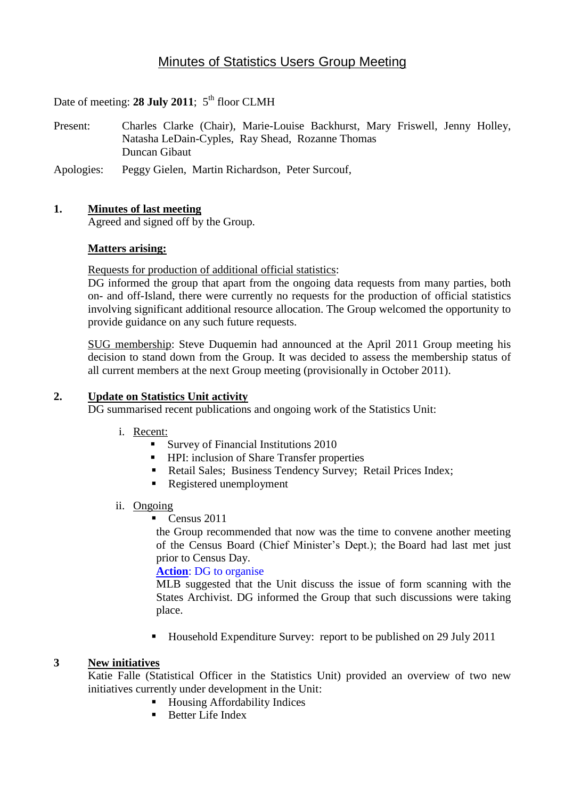# Minutes of Statistics Users Group Meeting

Date of meeting: **28 July 2011**;  $5<sup>th</sup>$  floor CLMH

Present: Charles Clarke (Chair), Marie-Louise Backhurst, Mary Friswell, Jenny Holley, Natasha LeDain-Cyples, Ray Shead, Rozanne Thomas Duncan Gibaut

Apologies: Peggy Gielen, Martin Richardson, Peter Surcouf,

### **1. Minutes of last meeting**

Agreed and signed off by the Group.

### **Matters arising:**

Requests for production of additional official statistics:

DG informed the group that apart from the ongoing data requests from many parties, both on- and off-Island, there were currently no requests for the production of official statistics involving significant additional resource allocation. The Group welcomed the opportunity to provide guidance on any such future requests.

SUG membership: Steve Duquemin had announced at the April 2011 Group meeting his decision to stand down from the Group. It was decided to assess the membership status of all current members at the next Group meeting (provisionally in October 2011).

### **2. Update on Statistics Unit activity**

DG summarised recent publications and ongoing work of the Statistics Unit:

### i. Recent:

- Survey of Financial Institutions 2010
- **HPI:** inclusion of Share Transfer properties
- Retail Sales; Business Tendency Survey; Retail Prices Index;
- Registered unemployment

### ii. Ongoing

Census 2011

the Group recommended that now was the time to convene another meeting of the Census Board (Chief Minister's Dept.); the Board had last met just prior to Census Day.

### **Action**: DG to organise

MLB suggested that the Unit discuss the issue of form scanning with the States Archivist. DG informed the Group that such discussions were taking place.

■ Household Expenditure Survey: report to be published on 29 July 2011

### **3 New initiatives**

Katie Falle (Statistical Officer in the Statistics Unit) provided an overview of two new initiatives currently under development in the Unit:

- Housing Affordability Indices
- $\blacksquare$  Better Life Index